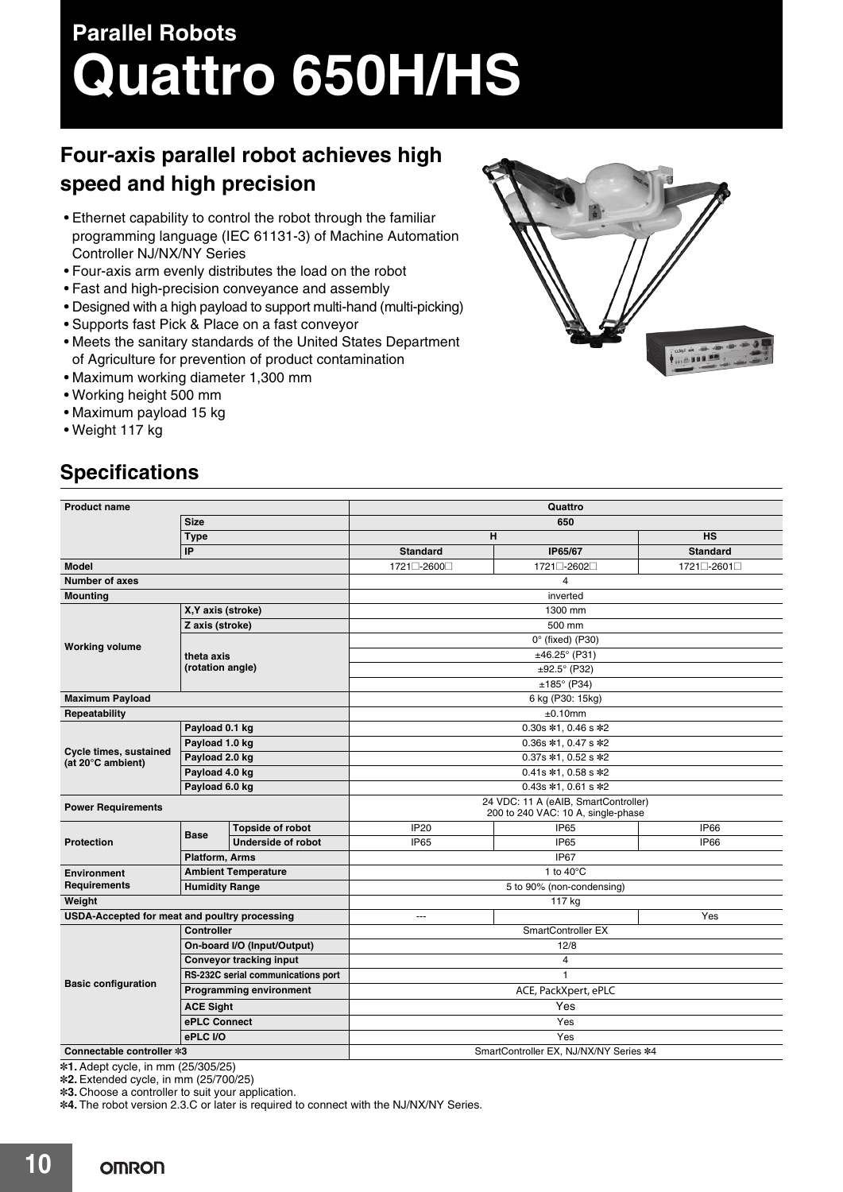# **Parallel Robots Quattro 650H/HS**

## **Four-axis parallel robot achieves high speed and high precision**

- Ethernet capability to control the robot through the familiar programming language (IEC 61131-3) of Machine Automation Controller NJ/NX/NY Series
- Four-axis arm evenly distributes the load on the robot
- Fast and high-precision conveyance and assembly
- Designed with a high payload to support multi-hand (multi-picking)
- Supports fast Pick & Place on a fast conveyor
- Meets the sanitary standards of the United States Department of Agriculture for prevention of product contamination
- $\bullet$  Max
- $\cdot$  Wo
- $\bullet$  Max
- $\bullet$  Weight  $\bullet$

### **Specifications**

|                                               |                                       | of Agriculture for prevention of product contamination |                                        |                        | <b>The COMPANY</b>         |  |  |
|-----------------------------------------------|---------------------------------------|--------------------------------------------------------|----------------------------------------|------------------------|----------------------------|--|--|
| • Maximum working diameter 1,300 mm           |                                       |                                                        |                                        |                        |                            |  |  |
| • Working height 500 mm                       |                                       |                                                        |                                        |                        |                            |  |  |
|                                               |                                       |                                                        |                                        |                        |                            |  |  |
| • Maximum payload 15 kg                       |                                       |                                                        |                                        |                        |                            |  |  |
| • Weight 117 kg                               |                                       |                                                        |                                        |                        |                            |  |  |
|                                               |                                       |                                                        |                                        |                        |                            |  |  |
| <b>Specifications</b>                         |                                       |                                                        |                                        |                        |                            |  |  |
|                                               |                                       |                                                        |                                        |                        |                            |  |  |
|                                               |                                       |                                                        |                                        |                        |                            |  |  |
| <b>Product name</b>                           |                                       | Quattro                                                |                                        |                        |                            |  |  |
|                                               | <b>Size</b>                           |                                                        | 650                                    |                        |                            |  |  |
|                                               | <b>Type</b><br>IP                     |                                                        | н                                      |                        | <b>HS</b>                  |  |  |
| <b>Model</b>                                  |                                       |                                                        | <b>Standard</b>                        | IP65/67<br>1721□-2602□ | <b>Standard</b>            |  |  |
| Number of axes                                |                                       |                                                        | 1721□-2600□                            | 4                      | 1721□-2601□                |  |  |
| <b>Mounting</b>                               |                                       |                                                        |                                        |                        |                            |  |  |
|                                               |                                       |                                                        | inverted<br>1300 mm                    |                        |                            |  |  |
|                                               | X, Y axis (stroke)<br>Z axis (stroke) |                                                        | 500 mm                                 |                        |                            |  |  |
|                                               | theta axis                            |                                                        | $0^\circ$ (fixed) (P30)                |                        |                            |  |  |
| <b>Working volume</b>                         |                                       |                                                        | $±46.25^{\circ}$ (P31)                 |                        |                            |  |  |
|                                               | (rotation angle)                      |                                                        | $±92.5^{\circ}$ (P32)                  |                        |                            |  |  |
|                                               |                                       |                                                        | $±185°$ (P34)                          |                        |                            |  |  |
| <b>Maximum Payload</b>                        |                                       |                                                        | 6 kg (P30: 15kg)                       |                        |                            |  |  |
| Repeatability                                 |                                       |                                                        | ±0.10mm                                |                        |                            |  |  |
|                                               | Payload 0.1 kg                        |                                                        | 0.30s *1, 0.46 s *2                    |                        |                            |  |  |
|                                               | Payload 1.0 kg                        |                                                        | 0.36s *1, 0.47 s *2                    |                        |                            |  |  |
| Cycle times, sustained<br>(at 20°C ambient)   | Payload 2.0 kg                        |                                                        | 0.37s *1, 0.52 s *2                    |                        |                            |  |  |
|                                               | Payload 4.0 kg                        |                                                        | 0.41s *1, 0.58 s *2                    |                        |                            |  |  |
|                                               | Payload 6.0 kg                        |                                                        | 0.43s *1, 0.61 s *2                    |                        |                            |  |  |
| <b>Power Requirements</b>                     |                                       |                                                        | 24 VDC: 11 A (eAIB, SmartController)   |                        |                            |  |  |
|                                               |                                       | 200 to 240 VAC: 10 A, single-phase                     |                                        |                        |                            |  |  |
| <b>Protection</b>                             | <b>Base</b>                           | <b>Topside of robot</b><br><b>Underside of robot</b>   | <b>IP20</b><br>IP65                    | IP65<br>IP65           | <b>IP66</b><br><b>IP66</b> |  |  |
|                                               | <b>Platform, Arms</b>                 |                                                        |                                        | IP67                   |                            |  |  |
|                                               |                                       | <b>Ambient Temperature</b>                             | 1 to $40^{\circ}$ C                    |                        |                            |  |  |
| <b>Environment</b><br><b>Requirements</b>     |                                       |                                                        | 5 to 90% (non-condensing)              |                        |                            |  |  |
| <b>Humidity Range</b><br>Weight               |                                       |                                                        | 117 kg                                 |                        |                            |  |  |
| USDA-Accepted for meat and poultry processing |                                       |                                                        | ---                                    |                        | Yes                        |  |  |
|                                               | <b>Controller</b>                     |                                                        | SmartController EX                     |                        |                            |  |  |
|                                               | On-board I/O (Input/Output)           |                                                        | 12/8                                   |                        |                            |  |  |
|                                               | <b>Conveyor tracking input</b>        |                                                        | $\overline{4}$                         |                        |                            |  |  |
|                                               | RS-232C serial communications port    |                                                        | $\mathbf{1}$                           |                        |                            |  |  |
| <b>Basic configuration</b>                    | <b>Programming environment</b>        |                                                        | ACE, PackXpert, ePLC                   |                        |                            |  |  |
|                                               | <b>ACE Sight</b>                      |                                                        | Yes                                    |                        |                            |  |  |
|                                               | ePLC Connect                          |                                                        | Yes                                    |                        |                            |  |  |
|                                               | ePLC I/O                              |                                                        | Yes                                    |                        |                            |  |  |
| Connectable controller *3                     |                                       |                                                        | SmartController EX, NJ/NX/NY Series *4 |                        |                            |  |  |

**\*1.** Adept cycle, in mm (25/305/25) **\*2.** Extended cycle, in mm (25/700/25)

**\*3.** Choose a controller to suit your application.

**\*4.** The robot version 2.3.C or later is required to connect with the NJ/NX/NY Series.